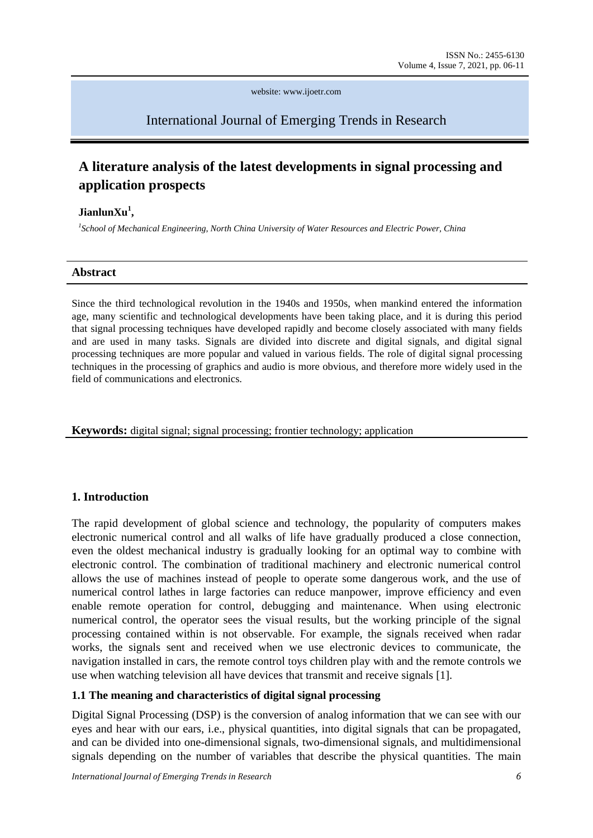website: www.ijoetr.com

## International Journal of Emerging Trends in Research

# **A literature analysis of the latest developments in signal processing and application prospects**

#### **JianlunXu<sup>1</sup> ,**

*1 School of Mechanical Engineering, North China University of Water Resources and Electric Power, China*

#### **Abstract**

Since the third technological revolution in the 1940s and 1950s, when mankind entered the information age, many scientific and technological developments have been taking place, and it is during this period that signal processing techniques have developed rapidly and become closely associated with many fields and are used in many tasks. Signals are divided into discrete and digital signals, and digital signal processing techniques are more popular and valued in various fields. The role of digital signal processing techniques in the processing of graphics and audio is more obvious, and therefore more widely used in the field of communications and electronics.

**Keywords:** digital signal; signal processing; frontier technology; application

### **1. Introduction**

The rapid development of global science and technology, the popularity of computers makes electronic numerical control and all walks of life have gradually produced a close connection, even the oldest mechanical industry is gradually looking for an optimal way to combine with electronic control. The combination of traditional machinery and electronic numerical control allows the use of machines instead of people to operate some dangerous work, and the use of numerical control lathes in large factories can reduce manpower, improve efficiency and even enable remote operation for control, debugging and maintenance. When using electronic numerical control, the operator sees the visual results, but the working principle of the signal processing contained within is not observable. For example, the signals received when radar works, the signals sent and received when we use electronic devices to communicate, the navigation installed in cars, the remote control toys children play with and the remote controls we use when watching television all have devices that transmit and receive signals [1].

### **1.1 The meaning and characteristics of digital signal processing**

Digital Signal Processing (DSP) is the conversion of analog information that we can see with our eyes and hear with our ears, i.e., physical quantities, into digital signals that can be propagated, and can be divided into one-dimensional signals, two-dimensional signals, and multidimensional signals depending on the number of variables that describe the physical quantities. The main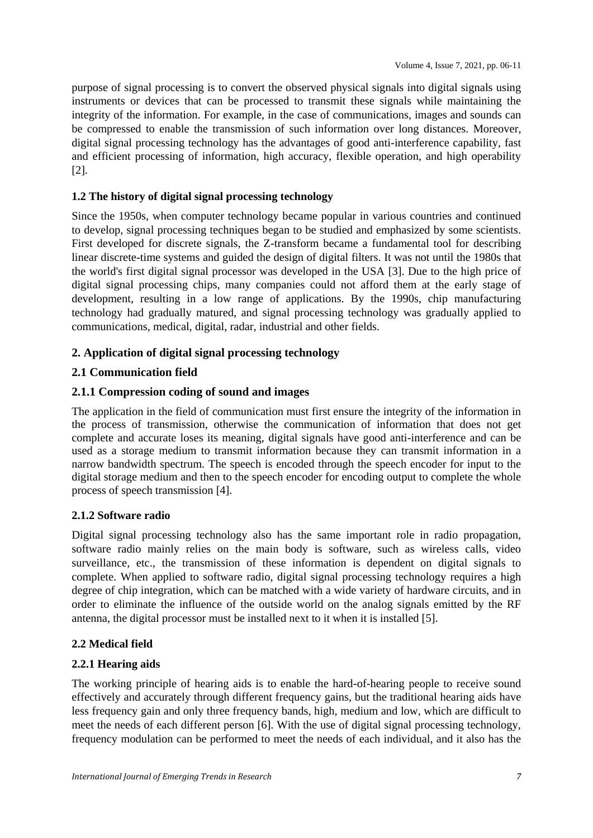purpose of signal processing is to convert the observed physical signals into digital signals using instruments or devices that can be processed to transmit these signals while maintaining the integrity of the information. For example, in the case of communications, images and sounds can be compressed to enable the transmission of such information over long distances. Moreover, digital signal processing technology has the advantages of good anti-interference capability, fast and efficient processing of information, high accuracy, flexible operation, and high operability [2].

### **1.2 The history of digital signal processing technology**

Since the 1950s, when computer technology became popular in various countries and continued to develop, signal processing techniques began to be studied and emphasized by some scientists. First developed for discrete signals, the Z-transform became a fundamental tool for describing linear discrete-time systems and guided the design of digital filters. It was not until the 1980s that the world's first digital signal processor was developed in the USA [3]. Due to the high price of digital signal processing chips, many companies could not afford them at the early stage of development, resulting in a low range of applications. By the 1990s, chip manufacturing technology had gradually matured, and signal processing technology was gradually applied to communications, medical, digital, radar, industrial and other fields.

### **2. Application of digital signal processing technology**

### **2.1 Communication field**

### **2.1.1 Compression coding of sound and images**

The application in the field of communication must first ensure the integrity of the information in the process of transmission, otherwise the communication of information that does not get complete and accurate loses its meaning, digital signals have good anti-interference and can be used as a storage medium to transmit information because they can transmit information in a narrow bandwidth spectrum. The speech is encoded through the speech encoder for input to the digital storage medium and then to the speech encoder for encoding output to complete the whole process of speech transmission [4].

### **2.1.2 Software radio**

Digital signal processing technology also has the same important role in radio propagation, software radio mainly relies on the main body is software, such as wireless calls, video surveillance, etc., the transmission of these information is dependent on digital signals to complete. When applied to software radio, digital signal processing technology requires a high degree of chip integration, which can be matched with a wide variety of hardware circuits, and in order to eliminate the influence of the outside world on the analog signals emitted by the RF antenna, the digital processor must be installed next to it when it is installed [5].

### **2.2 Medical field**

### **2.2.1 Hearing aids**

The working principle of hearing aids is to enable the hard-of-hearing people to receive sound effectively and accurately through different frequency gains, but the traditional hearing aids have less frequency gain and only three frequency bands, high, medium and low, which are difficult to meet the needs of each different person [6]. With the use of digital signal processing technology, frequency modulation can be performed to meet the needs of each individual, and it also has the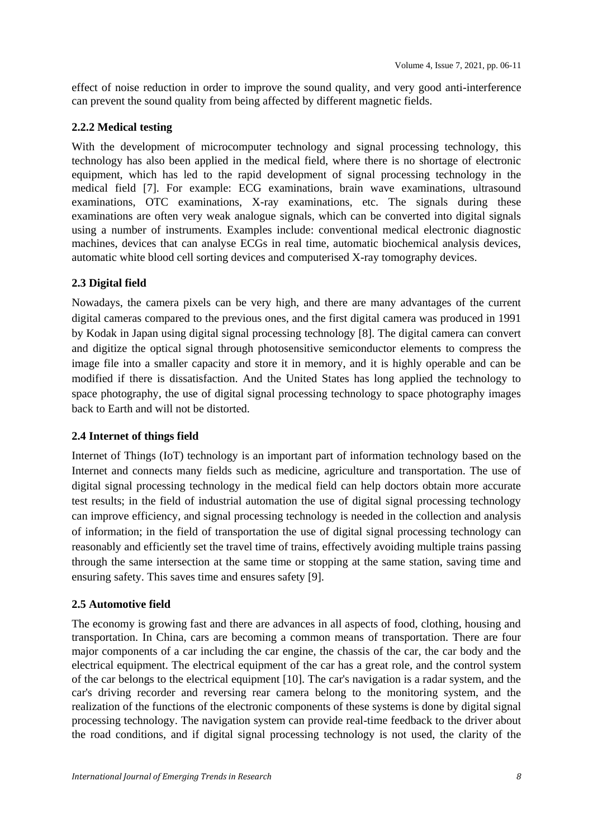effect of noise reduction in order to improve the sound quality, and very good anti-interference can prevent the sound quality from being affected by different magnetic fields.

### **2.2.2 Medical testing**

With the development of microcomputer technology and signal processing technology, this technology has also been applied in the medical field, where there is no shortage of electronic equipment, which has led to the rapid development of signal processing technology in the medical field [7]. For example: ECG examinations, brain wave examinations, ultrasound examinations, OTC examinations, X-ray examinations, etc. The signals during these examinations are often very weak analogue signals, which can be converted into digital signals using a number of instruments. Examples include: conventional medical electronic diagnostic machines, devices that can analyse ECGs in real time, automatic biochemical analysis devices, automatic white blood cell sorting devices and computerised X-ray tomography devices.

### **2.3 Digital field**

Nowadays, the camera pixels can be very high, and there are many advantages of the current digital cameras compared to the previous ones, and the first digital camera was produced in 1991 by Kodak in Japan using digital signal processing technology [8]. The digital camera can convert and digitize the optical signal through photosensitive semiconductor elements to compress the image file into a smaller capacity and store it in memory, and it is highly operable and can be modified if there is dissatisfaction. And the United States has long applied the technology to space photography, the use of digital signal processing technology to space photography images back to Earth and will not be distorted.

### **2.4 Internet of things field**

Internet of Things (IoT) technology is an important part of information technology based on the Internet and connects many fields such as medicine, agriculture and transportation. The use of digital signal processing technology in the medical field can help doctors obtain more accurate test results; in the field of industrial automation the use of digital signal processing technology can improve efficiency, and signal processing technology is needed in the collection and analysis of information; in the field of transportation the use of digital signal processing technology can reasonably and efficiently set the travel time of trains, effectively avoiding multiple trains passing through the same intersection at the same time or stopping at the same station, saving time and ensuring safety. This saves time and ensures safety [9].

### **2.5 Automotive field**

The economy is growing fast and there are advances in all aspects of food, clothing, housing and transportation. In China, cars are becoming a common means of transportation. There are four major components of a car including the car engine, the chassis of the car, the car body and the electrical equipment. The electrical equipment of the car has a great role, and the control system of the car belongs to the electrical equipment [10]. The car's navigation is a radar system, and the car's driving recorder and reversing rear camera belong to the monitoring system, and the realization of the functions of the electronic components of these systems is done by digital signal processing technology. The navigation system can provide real-time feedback to the driver about the road conditions, and if digital signal processing technology is not used, the clarity of the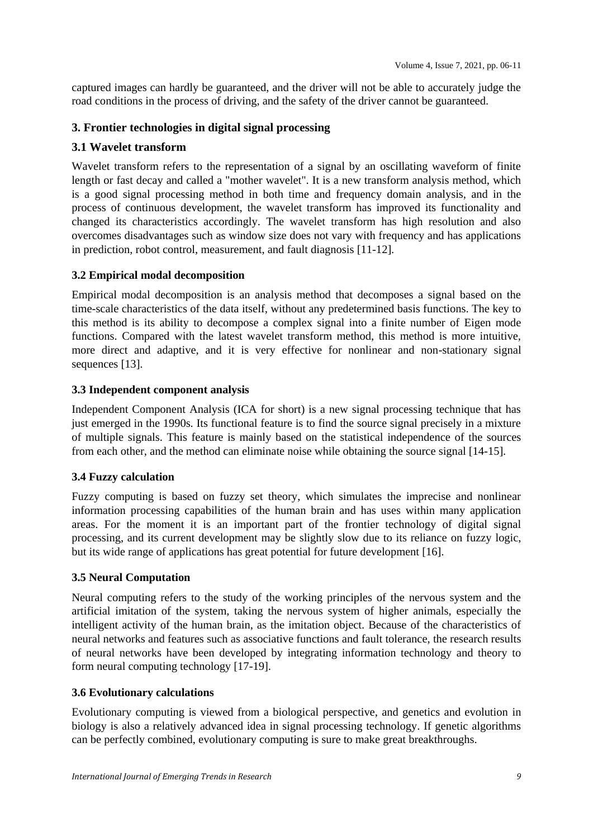captured images can hardly be guaranteed, and the driver will not be able to accurately judge the road conditions in the process of driving, and the safety of the driver cannot be guaranteed.

### **3. Frontier technologies in digital signal processing**

### **3.1 Wavelet transform**

Wavelet transform refers to the representation of a signal by an oscillating waveform of finite length or fast decay and called a "mother wavelet". It is a new transform analysis method, which is a good signal processing method in both time and frequency domain analysis, and in the process of continuous development, the wavelet transform has improved its functionality and changed its characteristics accordingly. The wavelet transform has high resolution and also overcomes disadvantages such as window size does not vary with frequency and has applications in prediction, robot control, measurement, and fault diagnosis [11-12].

### **3.2 Empirical modal decomposition**

Empirical modal decomposition is an analysis method that decomposes a signal based on the time-scale characteristics of the data itself, without any predetermined basis functions. The key to this method is its ability to decompose a complex signal into a finite number of Eigen mode functions. Compared with the latest wavelet transform method, this method is more intuitive, more direct and adaptive, and it is very effective for nonlinear and non-stationary signal sequences [13].

### **3.3 Independent component analysis**

Independent Component Analysis (ICA for short) is a new signal processing technique that has just emerged in the 1990s. Its functional feature is to find the source signal precisely in a mixture of multiple signals. This feature is mainly based on the statistical independence of the sources from each other, and the method can eliminate noise while obtaining the source signal [14-15].

### **3.4 Fuzzy calculation**

Fuzzy computing is based on fuzzy set theory, which simulates the imprecise and nonlinear information processing capabilities of the human brain and has uses within many application areas. For the moment it is an important part of the frontier technology of digital signal processing, and its current development may be slightly slow due to its reliance on fuzzy logic, but its wide range of applications has great potential for future development [16].

### **3.5 Neural Computation**

Neural computing refers to the study of the working principles of the nervous system and the artificial imitation of the system, taking the nervous system of higher animals, especially the intelligent activity of the human brain, as the imitation object. Because of the characteristics of neural networks and features such as associative functions and fault tolerance, the research results of neural networks have been developed by integrating information technology and theory to form neural computing technology [17-19].

### **3.6 Evolutionary calculations**

Evolutionary computing is viewed from a biological perspective, and genetics and evolution in biology is also a relatively advanced idea in signal processing technology. If genetic algorithms can be perfectly combined, evolutionary computing is sure to make great breakthroughs.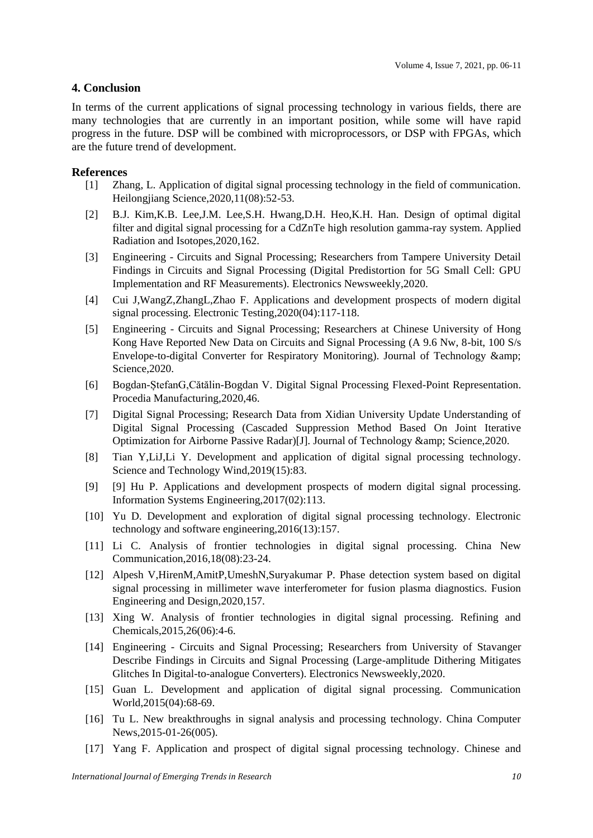#### **4. Conclusion**

In terms of the current applications of signal processing technology in various fields, there are many technologies that are currently in an important position, while some will have rapid progress in the future. DSP will be combined with microprocessors, or DSP with FPGAs, which are the future trend of development.

#### **References**

- [1] Zhang, L. Application of digital signal processing technology in the field of communication. Heilongjiang Science,2020,11(08):52-53.
- [2] B.J. Kim,K.B. Lee,J.M. Lee,S.H. Hwang,D.H. Heo,K.H. Han. Design of optimal digital filter and digital signal processing for a CdZnTe high resolution gamma-ray system. Applied Radiation and Isotopes,2020,162.
- [3] Engineering Circuits and Signal Processing; Researchers from Tampere University Detail Findings in Circuits and Signal Processing (Digital Predistortion for 5G Small Cell: GPU Implementation and RF Measurements). Electronics Newsweekly,2020.
- [4] Cui J,WangZ,ZhangL,Zhao F. Applications and development prospects of modern digital signal processing. Electronic Testing,2020(04):117-118.
- [5] Engineering Circuits and Signal Processing; Researchers at Chinese University of Hong Kong Have Reported New Data on Circuits and Signal Processing (A 9.6 Nw, 8-bit, 100 S/s Envelope-to-digital Converter for Respiratory Monitoring). Journal of Technology & Science,2020.
- [6] Bogdan-ȘtefanG,Cătălin-Bogdan V. Digital Signal Processing Flexed-Point Representation. Procedia Manufacturing,2020,46.
- [7] Digital Signal Processing; Research Data from Xidian University Update Understanding of Digital Signal Processing (Cascaded Suppression Method Based On Joint Iterative Optimization for Airborne Passive Radar)[J]. Journal of Technology & amp; Science, 2020.
- [8] Tian Y,LiJ,Li Y. Development and application of digital signal processing technology. Science and Technology Wind,2019(15):83.
- [9] [9] Hu P. Applications and development prospects of modern digital signal processing. Information Systems Engineering,2017(02):113.
- [10] Yu D. Development and exploration of digital signal processing technology. Electronic technology and software engineering,2016(13):157.
- [11] Li C. Analysis of frontier technologies in digital signal processing. China New Communication,2016,18(08):23-24.
- [12] Alpesh V,HirenM,AmitP,UmeshN,Suryakumar P. Phase detection system based on digital signal processing in millimeter wave interferometer for fusion plasma diagnostics. Fusion Engineering and Design,2020,157.
- [13] Xing W. Analysis of frontier technologies in digital signal processing. Refining and Chemicals,2015,26(06):4-6.
- [14] Engineering Circuits and Signal Processing; Researchers from University of Stavanger Describe Findings in Circuits and Signal Processing (Large-amplitude Dithering Mitigates Glitches In Digital-to-analogue Converters). Electronics Newsweekly,2020.
- [15] Guan L. Development and application of digital signal processing. Communication World,2015(04):68-69.
- [16] Tu L. New breakthroughs in signal analysis and processing technology. China Computer News,2015-01-26(005).
- [17] Yang F. Application and prospect of digital signal processing technology. Chinese and